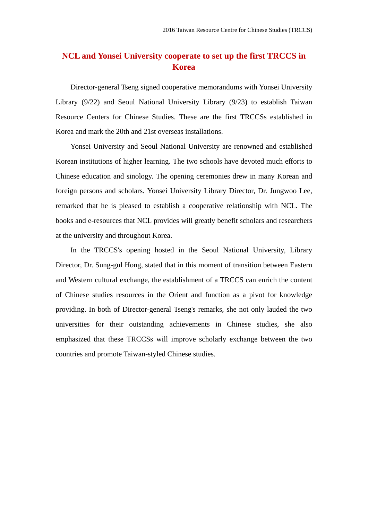## **NCL and Yonsei University cooperate to set up the first TRCCS in Korea**

Director-general Tseng signed cooperative memorandums with Yonsei University Library (9/22) and Seoul National University Library (9/23) to establish Taiwan Resource Centers for Chinese Studies. These are the first TRCCSs established in Korea and mark the 20th and 21st overseas installations.

Yonsei University and Seoul National University are renowned and established Korean institutions of higher learning. The two schools have devoted much efforts to Chinese education and sinology. The opening ceremonies drew in many Korean and foreign persons and scholars. Yonsei University Library Director, Dr. Jungwoo Lee, remarked that he is pleased to establish a cooperative relationship with NCL. The books and e-resources that NCL provides will greatly benefit scholars and researchers at the university and throughout Korea.

In the TRCCS's opening hosted in the Seoul National University, Library Director, Dr. Sung-gul Hong, stated that in this moment of transition between Eastern and Western cultural exchange, the establishment of a TRCCS can enrich the content of Chinese studies resources in the Orient and function as a pivot for knowledge providing. In both of Director-general Tseng's remarks, she not only lauded the two universities for their outstanding achievements in Chinese studies, she also emphasized that these TRCCSs will improve scholarly exchange between the two countries and promote Taiwan-styled Chinese studies.